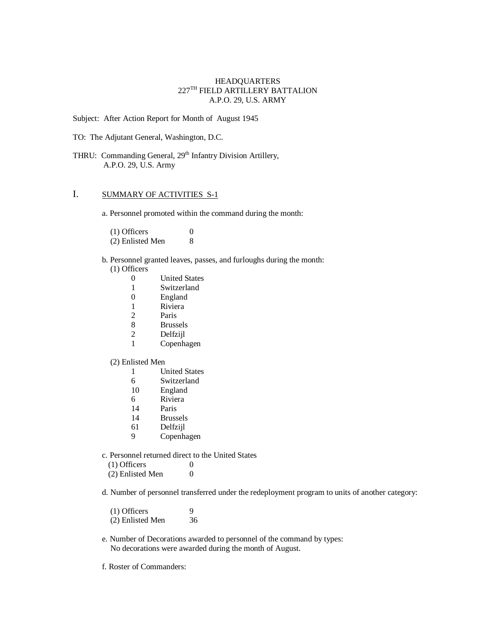### HEADQUARTERS  $227^{\mathrm{TH}}$  FIELD ARTILLERY BATTALION A.P.O. 29, U.S. ARMY

Subject: After Action Report for Month of August 1945

TO: The Adjutant General, Washington, D.C.

THRU: Commanding General, 29<sup>th</sup> Infantry Division Artillery, A.P.O. 29, U.S. Army

## I. SUMMARY OF ACTIVITIES S-1

a. Personnel promoted within the command during the month:

(1) Officers 0<br>(2) Enlisted Men 8  $(2)$  Enlisted Men

- b. Personnel granted leaves, passes, and furloughs during the month: (1) Officers
	-
	- 0 United States<br>1 Switzerland **Switzerland**
	- 0 England
	-
	- 1 Riviera<br>2 Paris Paris
	- 8 Brussels
	-
	- 2 Delfzijl<br>1 Copenha **Copenhagen**

### (2) Enlisted Men

- 1 United States
- 6 Switzerland
- 10 England
- 6 Riviera
- 14 Paris
- 14 Brussels
- 61 Delfzijl
- 9 Copenhagen
- c. Personnel returned direct to the United States
	- $(1)$  Officers  $0$
	- $(2)$  Enlisted Men  $0$

d. Number of personnel transferred under the redeployment program to units of another category:

| $(1)$ Officers   | 9  |
|------------------|----|
| (2) Enlisted Men | 36 |

- e. Number of Decorations awarded to personnel of the command by types: No decorations were awarded during the month of August.
- f. Roster of Commanders: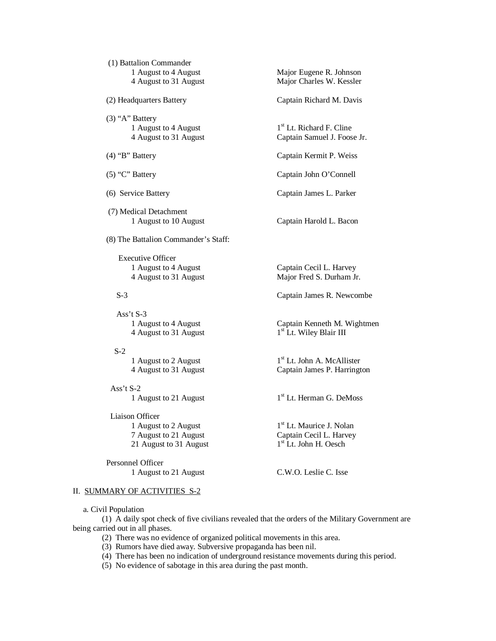| (1) Battalion Commander                         |                                                                       |
|-------------------------------------------------|-----------------------------------------------------------------------|
| 1 August to 4 August<br>4 August to 31 August   | Major Eugene R. Johnson<br>Major Charles W. Kessler                   |
| (2) Headquarters Battery                        | Captain Richard M. Davis                                              |
| $(3)$ "A" Battery                               |                                                                       |
| 1 August to 4 August<br>4 August to 31 August   | 1 <sup>st</sup> Lt. Richard F. Cline<br>Captain Samuel J. Foose Jr.   |
| $(4)$ "B" Battery                               | Captain Kermit P. Weiss                                               |
| $(5)$ "C" Battery                               | Captain John O'Connell                                                |
| (6) Service Battery                             | Captain James L. Parker                                               |
| (7) Medical Detachment<br>1 August to 10 August | Captain Harold L. Bacon                                               |
| (8) The Battalion Commander's Staff:            |                                                                       |
| <b>Executive Officer</b>                        |                                                                       |
| 1 August to 4 August<br>4 August to 31 August   | Captain Cecil L. Harvey<br>Major Fred S. Durham Jr.                   |
| $S-3$                                           | Captain James R. Newcombe                                             |
| Ass't S-3                                       |                                                                       |
| 1 August to 4 August<br>4 August to 31 August   | Captain Kenneth M. Wightmen<br>1 <sup>st</sup> Lt. Wiley Blair III    |
| $S-2$                                           |                                                                       |
| 1 August to 2 August<br>4 August to 31 August   | 1 <sup>st</sup> Lt. John A. McAllister<br>Captain James P. Harrington |
| Ass't S-2                                       |                                                                       |
| 1 August to 21 August                           | 1 <sup>st</sup> Lt. Herman G. DeMoss                                  |
| Liaison Officer                                 |                                                                       |
| 1 August to 2 August                            | 1 <sup>st</sup> Lt. Maurice J. Nolan                                  |
| 7 August to 21 August<br>21 August to 31 August | Captain Cecil L. Harvey<br>1 <sup>st</sup> Lt. John H. Oesch          |

 Personnel Officer 1 August to 21 August C.W.O. Leslie C. Isse

## II. SUMMARY OF ACTIVITIES S-2

a. Civil Population

(1) A daily spot check of five civilians revealed that the orders of the Military Government are being carried out in all phases.

- (2) There was no evidence of organized political movements in this area.
- (3) Rumors have died away. Subversive propaganda has been nil.
- (4) There has been no indication of underground resistance movements during this period.
- (5) No evidence of sabotage in this area during the past month.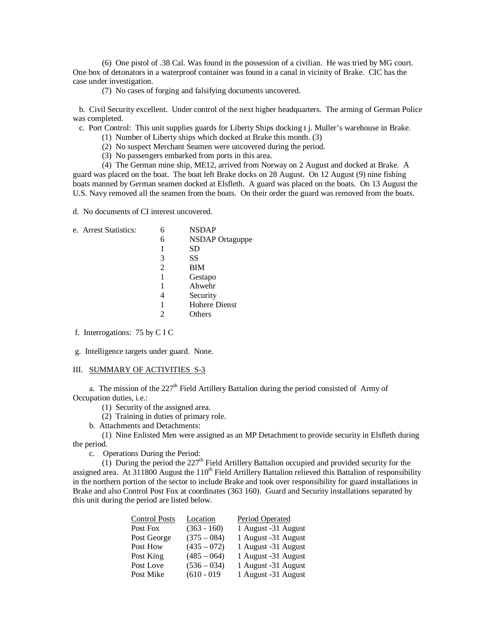(6) One pistol of .38 Cal. Was found in the possession of a civilian. He was tried by MG court. One box of detonators in a waterproof container was found in a canal in vicinity of Brake. CIC has the case under investigation.

(7) No cases of forging and falsifying documents uncovered.

 b. Civil Security excellent. Under control of the next higher headquarters. The arming of German Police was completed.

c. Port Control: This unit supplies guards for Liberty Ships docking t j. Muller's warehouse in Brake.

- (1) Number of Liberty ships which docked at Brake this month. (3)
- (2) No suspect Merchant Seamen were uncovered during the period.
- (3) No passengers embarked from ports in this area.

(4) The German mine ship, ME12, arrived from Norway on 2 August and docked at Brake. A guard was placed on the boat. The boat left Brake docks on 28 August. On 12 August (9) nine fishing boats manned by German seamen docked at Elsfleth. A guard was placed on the boats. On 13 August the U.S. Navy removed all the seamen from the boats. On their order the guard was removed from the boats.

d. No documents of CI interest uncovered.

| e. Arrest Statistics: |   | <b>NSDAP</b>         |  |
|-----------------------|---|----------------------|--|
|                       | 6 | NSDAP Ortaguppe      |  |
|                       |   | SD                   |  |
|                       | 3 | SS                   |  |
|                       | 2 | BIM                  |  |
|                       |   | Gestapo              |  |
|                       |   | Ahwehr               |  |
|                       | 4 | Security             |  |
|                       | 1 | <b>Hohere Dienst</b> |  |
|                       | 2 | Others               |  |
|                       |   |                      |  |
|                       |   |                      |  |

f. Interrogations: 75 by C I C

g. Intelligence targets under guard. None.

#### III. SUMMARY OF ACTIVITIES S-3

a. The mission of the  $227<sup>th</sup>$  Field Artillery Battalion during the period consisted of Army of Occupation duties, i.e.:

(1) Security of the assigned area.

(2) Training in duties of primary role.

b. Attachments and Detachments:

(1) Nine Enlisted Men were assigned as an MP Detachment to provide security in Elsfleth during the period.

c. Operations During the Period:

(1) During the period the  $227<sup>th</sup>$  Field Artillery Battalion occupied and provided security for the assigned area. At  $311800$  August the  $110<sup>th</sup>$  Field Artillery Battalion relieved this Battalion of responsibility in the northern portion of the sector to include Brake and took over responsibility for guard installations in Brake and also Control Post Fox at coordinates (363 160). Guard and Security installations separated by this unit during the period are listed below.

| Location      | Period Operated     |
|---------------|---------------------|
| $(363 - 160)$ | 1 August -31 August |
| $(375 - 084)$ | 1 August -31 August |
| $(435 - 072)$ | 1 August -31 August |
| $(485 - 064)$ | 1 August -31 August |
| $(536 - 034)$ | 1 August -31 August |
| $(610 - 019)$ | 1 August -31 August |
|               |                     |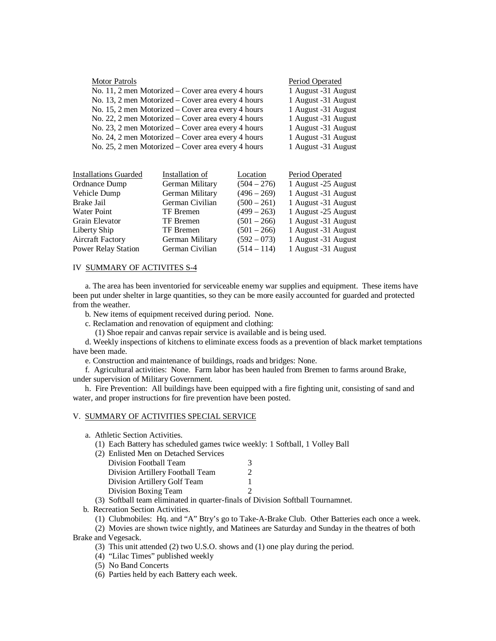| <b>Motor Patrols</b>                               | Period Operated     |
|----------------------------------------------------|---------------------|
| No. 11, 2 men Motorized – Cover area every 4 hours | 1 August -31 August |
| No. 13, 2 men Motorized – Cover area every 4 hours | 1 August -31 August |
| No. 15, 2 men Motorized – Cover area every 4 hours | 1 August -31 August |
| No. 22, 2 men Motorized – Cover area every 4 hours | 1 August -31 August |
| No. 23, 2 men Motorized – Cover area every 4 hours | 1 August -31 August |
| No. 24, 2 men Motorized – Cover area every 4 hours | 1 August -31 August |
| No. 25, 2 men Motorized – Cover area every 4 hours | 1 August -31 August |

| <b>Installations Guarded</b> | Installation of  | Location      | Period Operated     |
|------------------------------|------------------|---------------|---------------------|
| Ordnance Dump                | German Military  | $(504 - 276)$ | 1 August -25 August |
| Vehicle Dump                 | German Military  | $(496 - 269)$ | 1 August -31 August |
| Brake Jail                   | German Civilian  | $(500 - 261)$ | 1 August -31 August |
| <b>Water Point</b>           | <b>TF</b> Bremen | $(499 - 263)$ | 1 August -25 August |
| Grain Elevator               | <b>TF</b> Bremen | $(501 - 266)$ | 1 August -31 August |
| Liberty Ship                 | <b>TF</b> Bremen | $(501 - 266)$ | 1 August -31 August |
| <b>Aircraft Factory</b>      | German Military  | $(592 - 073)$ | 1 August -31 August |
| Power Relay Station          | German Civilian  | $(514 - 114)$ | 1 August -31 August |

## IV SUMMARY OF ACTIVITES S-4

 a. The area has been inventoried for serviceable enemy war supplies and equipment. These items have been put under shelter in large quantities, so they can be more easily accounted for guarded and protected from the weather.

b. New items of equipment received during period. None.

c. Reclamation and renovation of equipment and clothing:

(1) Shoe repair and canvas repair service is available and is being used.

 d. Weekly inspections of kitchens to eliminate excess foods as a prevention of black market temptations have been made.

e. Construction and maintenance of buildings, roads and bridges: None.

 f. Agricultural activities: None. Farm labor has been hauled from Bremen to farms around Brake, under supervision of Military Government.

 h. Fire Prevention: All buildings have been equipped with a fire fighting unit, consisting of sand and water, and proper instructions for fire prevention have been posted.

#### V. SUMMARY OF ACTIVITIES SPECIAL SERVICE

a. Athletic Section Activities.

(1) Each Battery has scheduled games twice weekly: 1 Softball, 1 Volley Ball

| (2) Enlisted Men on Detached Services |   |
|---------------------------------------|---|
| Division Football Team                | 3 |
| Division Artillery Football Team      |   |
| Division Artillery Golf Team          |   |
| Division Boxing Team                  |   |

(3) Softball team eliminated in quarter-finals of Division Softball Tournamnet.

b. Recreation Section Activities.

(1) Clubmobiles: Hq. and "A" Btry's go to Take-A-Brake Club. Other Batteries each once a week.

(2) Movies are shown twice nightly, and Matinees are Saturday and Sunday in the theatres of both

Brake and Vegesack.

(3) This unit attended (2) two U.S.O. shows and (1) one play during the period.

- (4) "Lilac Times" published weekly
- (5) No Band Concerts

(6) Parties held by each Battery each week.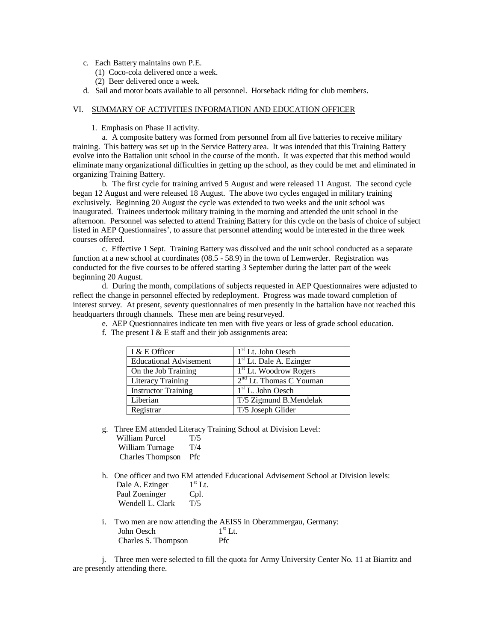- c. Each Battery maintains own P.E.
	- (1) Coco-cola delivered once a week.
	- (2) Beer delivered once a week.
- d. Sail and motor boats available to all personnel. Horseback riding for club members.

#### VI. SUMMARY OF ACTIVITIES INFORMATION AND EDUCATION OFFICER

1. Emphasis on Phase II activity.

a. A composite battery was formed from personnel from all five batteries to receive military training. This battery was set up in the Service Battery area. It was intended that this Training Battery evolve into the Battalion unit school in the course of the month. It was expected that this method would eliminate many organizational difficulties in getting up the school, as they could be met and eliminated in organizing Training Battery.

b. The first cycle for training arrived 5 August and were released 11 August. The second cycle began 12 August and were released 18 August. The above two cycles engaged in military training exclusively. Beginning 20 August the cycle was extended to two weeks and the unit school was inaugurated. Trainees undertook military training in the morning and attended the unit school in the afternoon. Personnel was selected to attend Training Battery for this cycle on the basis of choice of subject listed in AEP Questionnaires', to assure that personnel attending would be interested in the three week courses offered.

c. Effective 1 Sept. Training Battery was dissolved and the unit school conducted as a separate function at a new school at coordinates (08.5 - 58.9) in the town of Lemwerder. Registration was conducted for the five courses to be offered starting 3 September during the latter part of the week beginning 20 August.

d. During the month, compilations of subjects requested in AEP Questionnaires were adjusted to reflect the change in personnel effected by redeployment. Progress was made toward completion of interest survey. At present, seventy questionnaires of men presently in the battalion have not reached this headquarters through channels. These men are being resurveyed.

- I & E Officer 1<sup>st</sup> Lt. John Oesch Educational Advisement 1<sup>st</sup> Lt. Dale A. Ezinger On the Job Training 1 1<sup>st</sup> Lt. Woodrow Rogers Literacy Training  $2<sup>nd</sup>$  Lt. Thomas C Youman Instructor Training 1 1<sup>st</sup> L. John Oesch Liberian T/5 Zigmund B.Mendelak Registrar T/5 Joseph Glider
- e. AEP Questionnaires indicate ten men with five years or less of grade school education.
- f. The present  $I \& E$  staff and their job assignments area:

- g. Three EM attended Literacy Training School at Division Level:
	- William Purcel T/5 William Turnage T/4 Charles Thompson Pfc
- h. One officer and two EM attended Educational Advisement School at Division levels:
	- Dale A. Ezinger  $1<sup>st</sup>$  Lt. Paul Zoeninger Cpl. Wendell L. Clark T/5
- i. Two men are now attending the AEISS in Oberzmmergau, Germany: John Oesch 1  $1<sup>st</sup>$  Lt. Charles S. Thompson Pfc

j. Three men were selected to fill the quota for Army University Center No. 11 at Biarritz and are presently attending there.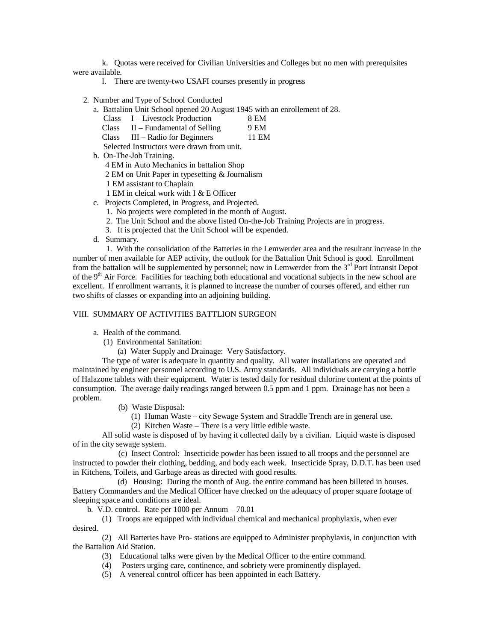k. Quotas were received for Civilian Universities and Colleges but no men with prerequisites were available.

- l. There are twenty-two USAFI courses presently in progress
- 2. Number and Type of School Conducted
	- a. Battalion Unit School opened 20 August 1945 with an enrollement of 28.
		- Class I Livestock Production 8 EM
		- Class  $II$  Fundamental of Selling 9 EM
		- Class III Radio for Beginners 11 EM
		- Selected Instructors were drawn from unit.
	- b. On-The-Job Training.
		- 4 EM in Auto Mechanics in battalion Shop
		- 2 EM on Unit Paper in typesetting & Journalism
		- 1 EM assistant to Chaplain
		- 1 EM in cleical work with I & E Officer
	- c. Projects Completed, in Progress, and Projected.
		- 1. No projects were completed in the month of August.
		- 2. The Unit School and the above listed On-the-Job Training Projects are in progress.
		- 3. It is projected that the Unit School will be expended.
	- d. Summary.

 1. With the consolidation of the Batteries in the Lemwerder area and the resultant increase in the number of men available for AEP activity, the outlook for the Battalion Unit School is good. Enrollment from the battalion will be supplemented by personnel; now in Lemwerder from the 3<sup>rd</sup> Port Intransit Depot of the 9<sup>th</sup> Air Force. Facilities for teaching both educational and vocational subjects in the new school are excellent. If enrollment warrants, it is planned to increase the number of courses offered, and either run two shifts of classes or expanding into an adjoining building.

### VIII. SUMMARY OF ACTIVITIES BATTLION SURGEON

- a. Health of the command.
	- (1) Environmental Sanitation:
		- (a) Water Supply and Drainage: Very Satisfactory.

The type of water is adequate in quantity and quality. All water installations are operated and maintained by engineer personnel according to U.S. Army standards. All individuals are carrying a bottle of Halazone tablets with their equipment. Water is tested daily for residual chlorine content at the points of consumption. The average daily readings ranged between 0.5 ppm and 1 ppm. Drainage has not been a problem.

- (b) Waste Disposal:
	- (1) Human Waste city Sewage System and Straddle Trench are in general use.
	- (2) Kitchen Waste There is a very little edible waste.

All solid waste is disposed of by having it collected daily by a civilian. Liquid waste is disposed of in the city sewage system.

 (c) Insect Control: Insecticide powder has been issued to all troops and the personnel are instructed to powder their clothing, bedding, and body each week. Insecticide Spray, D.D.T. has been used in Kitchens, Toilets, and Garbage areas as directed with good results.

 (d) Housing: During the month of Aug. the entire command has been billeted in houses. Battery Commanders and the Medical Officer have checked on the adequacy of proper square footage of sleeping space and conditions are ideal.

b. V.D. control. Rate per 1000 per Annum – 70.01

(1) Troops are equipped with individual chemical and mechanical prophylaxis, when ever desired.

(2) All Batteries have Pro- stations are equipped to Administer prophylaxis, in conjunction with the Battalion Aid Station.

- (3) Educational talks were given by the Medical Officer to the entire command.
- (4) Posters urging care, continence, and sobriety were prominently displayed.
- (5) A venereal control officer has been appointed in each Battery.